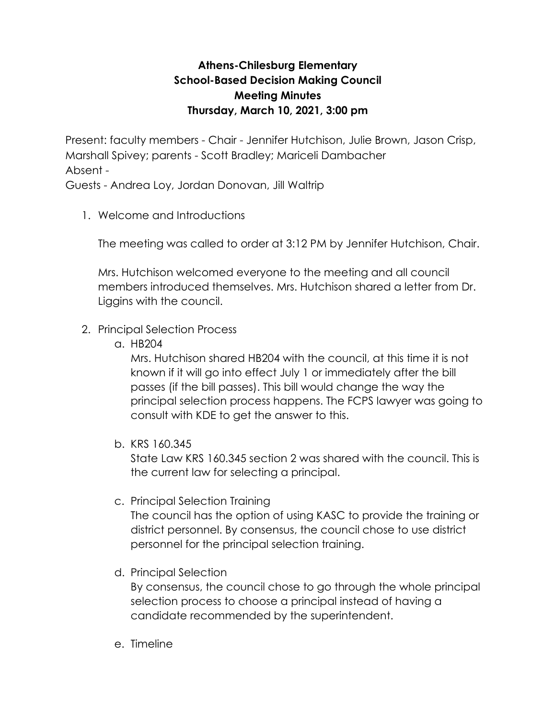## **Athens-Chilesburg Elementary School-Based Decision Making Council Meeting Minutes Thursday, March 10, 2021, 3:00 pm**

Present: faculty members - Chair - Jennifer Hutchison, Julie Brown, Jason Crisp, Marshall Spivey; parents - Scott Bradley; Mariceli Dambacher Absent -

Guests - Andrea Loy, Jordan Donovan, Jill Waltrip

1. Welcome and Introductions

The meeting was called to order at 3:12 PM by Jennifer Hutchison, Chair.

Mrs. Hutchison welcomed everyone to the meeting and all council members introduced themselves. Mrs. Hutchison shared a letter from Dr. Liggins with the council.

## 2. Principal Selection Process

a. HB204

Mrs. Hutchison shared HB204 with the council, at this time it is not known if it will go into effect July 1 or immediately after the bill passes (if the bill passes). This bill would change the way the principal selection process happens. The FCPS lawyer was going to consult with KDE to get the answer to this.

b. KRS 160.345

State Law KRS 160.345 section 2 was shared with the council. This is the current law for selecting a principal.

c. Principal Selection Training

The council has the option of using KASC to provide the training or district personnel. By consensus, the council chose to use district personnel for the principal selection training.

d. Principal Selection

By consensus, the council chose to go through the whole principal selection process to choose a principal instead of having a candidate recommended by the superintendent.

e. Timeline